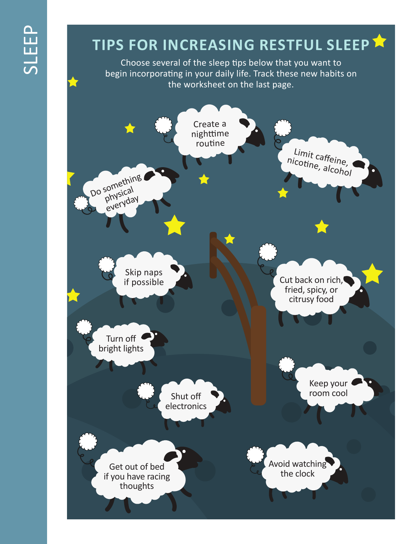# SLEEP

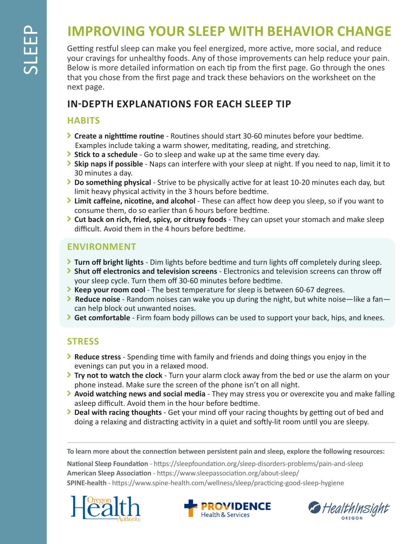# **IMPROVING YOUR SLEEP WITH BEHAVIOR CHANGE**

Getting restful sleep can make you feel energized, more active, more social, and reduce your cravings for unhealthy foods. Any of those improvements can help reduce your pain. Below is more detailed information on each tip from the first page. Go through the ones that you chose from the first page and track these behaviors on the worksheet on the next page.

## **IN-DEPTH EXPLANATIONS FOR EACH SLEEP TIP**

#### **HABITS**

- **Create a nighttime routine** Routines should start 30-60 minutes before your bedtime. Examples include taking a warm shower, meditating, reading, and stretching.
- **Stick to a schedule** Go to sleep and wake up at the same time every day.
- **Skip naps if possible**  Naps can interfere with your sleep at night. If you need to nap, limit it to 30 minutes a day.
- **Do something physical** Strive to be physically active for at least 10-20 minutes each day, but limit heavy physical activity in the 3 hours before bedtime.
- **Limit caffeine, nicotine, and alcohol**  These can affect how deep you sleep, so if you want to consume them, do so earlier than 6 hours before bedtime.
- **Cut back on rich, fried, spicy, or citrusy foods** They can upset your stomach and make sleep difficult. Avoid them in the 4 hours before bedtime.

### **ENVIRONMENT**

- **Turn off bright lights** Dim lights before bedtime and turn lights off completely during sleep.
- **Shut off electronics and television screens** Electronics and television screens can throw off your sleep cycle. Turn them off 30-60 minutes before bedtime.
- **Keep your room cool**  The best temperature for sleep is between 60-67 degrees.
- **Example 2 Reduce noise** Random noises can wake you up during the night, but white noise—like a fan can help block out unwanted noises.
- **Get comfortable**  Firm foam body pillows can be used to support your back, hips, and knees.

# **STRESS**

- **Reduce stress** Spending time with family and friends and doing things you enjoy in the evenings can put you in a relaxed mood.
- **Try not to watch the clock** Turn your alarm clock away from the bed or use the alarm on your phone instead. Make sure the screen of the phone isn't on all night.
- **Avoid watching news and social media** They may stress you or overexcite you and make falling asleep difficult. Avoid them in the hour before bedtime.
- **Deal with racing thoughts** Get your mind off your racing thoughts by getting out of bed and doing a relaxing and distracting activity in a quiet and softly-lit room until you are sleepy.

**To learn more about the connection between persistent pain and sleep, explore the following resources:**

**National Sleep Foundation** - https://sleepfoundation.org/sleep-disorders-problems/pain-and-sleep **American Sleep Association** - https://www.sleepassociation.org/about-sleep/ **SPINE-health** - https://www.spine-health.com/wellness/sleep/practicing-good-sleep-hygiene